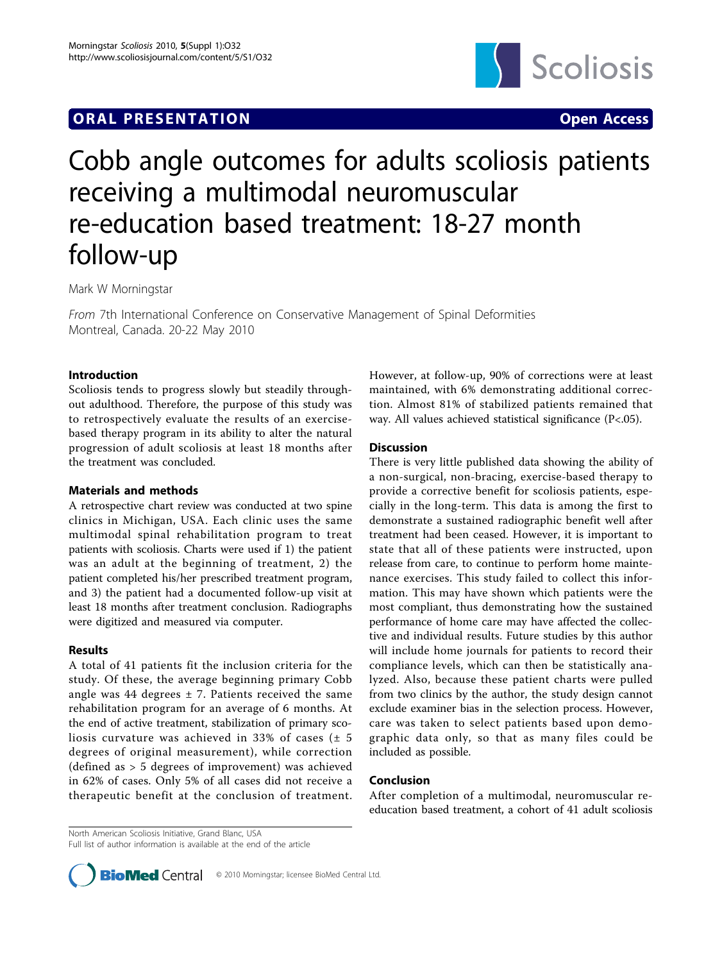# **ORAL PRESENTATION CONSUMING ACCESS**



# Cobb angle outcomes for adults scoliosis patients receiving a multimodal neuromuscular re-education based treatment: 18-27 month follow-up

Mark W Morningstar

From 7th International Conference on Conservative Management of Spinal Deformities Montreal, Canada. 20-22 May 2010

#### Introduction

Scoliosis tends to progress slowly but steadily throughout adulthood. Therefore, the purpose of this study was to retrospectively evaluate the results of an exercisebased therapy program in its ability to alter the natural progression of adult scoliosis at least 18 months after the treatment was concluded.

## Materials and methods

A retrospective chart review was conducted at two spine clinics in Michigan, USA. Each clinic uses the same multimodal spinal rehabilitation program to treat patients with scoliosis. Charts were used if 1) the patient was an adult at the beginning of treatment, 2) the patient completed his/her prescribed treatment program, and 3) the patient had a documented follow-up visit at least 18 months after treatment conclusion. Radiographs were digitized and measured via computer.

## Results

A total of 41 patients fit the inclusion criteria for the study. Of these, the average beginning primary Cobb angle was 44 degrees  $\pm$  7. Patients received the same rehabilitation program for an average of 6 months. At the end of active treatment, stabilization of primary scoliosis curvature was achieved in 33% of cases  $(± 5$ degrees of original measurement), while correction (defined as > 5 degrees of improvement) was achieved in 62% of cases. Only 5% of all cases did not receive a therapeutic benefit at the conclusion of treatment.

However, at follow-up, 90% of corrections were at least maintained, with 6% demonstrating additional correction. Almost 81% of stabilized patients remained that way. All values achieved statistical significance (P<.05).

#### **Discussion**

There is very little published data showing the ability of a non-surgical, non-bracing, exercise-based therapy to provide a corrective benefit for scoliosis patients, especially in the long-term. This data is among the first to demonstrate a sustained radiographic benefit well after treatment had been ceased. However, it is important to state that all of these patients were instructed, upon release from care, to continue to perform home maintenance exercises. This study failed to collect this information. This may have shown which patients were the most compliant, thus demonstrating how the sustained performance of home care may have affected the collective and individual results. Future studies by this author will include home journals for patients to record their compliance levels, which can then be statistically analyzed. Also, because these patient charts were pulled from two clinics by the author, the study design cannot exclude examiner bias in the selection process. However, care was taken to select patients based upon demographic data only, so that as many files could be included as possible.

#### Conclusion

After completion of a multimodal, neuromuscular reeducation based treatment, a cohort of 41 adult scoliosis

North American Scoliosis Initiative, Grand Blanc, USA

Full list of author information is available at the end of the article

**BioMed** Central © 2010 Morningstar; licensee BioMed Central Ltd.